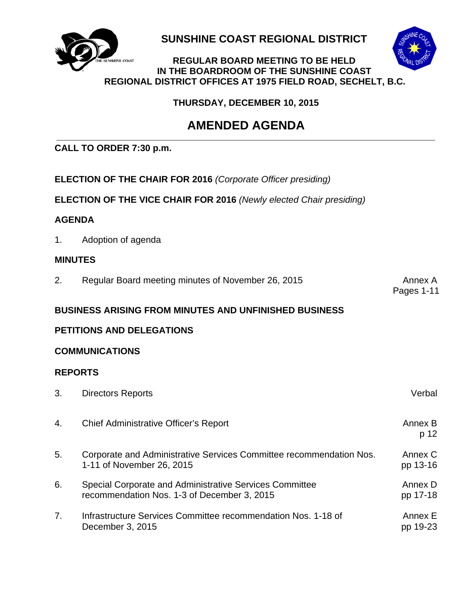

**SUNSHINE COAST REGIONAL DISTRICT**

#### **HINE-COAST REGULAR BOARD MEETING TO BE HELD IN THE BOARDROOM OF THE SUNSHINE COAST REGIONAL DISTRICT OFFICES AT 1975 FIELD ROAD, SECHELT, B.C.**

 **THURSDAY, DECEMBER 10, 2015**

# **AMENDED AGENDA**

## **CALL TO ORDER 7:30 p.m.**

- **ELECTION OF THE CHAIR FOR 2016** *(Corporate Officer presiding)*
- **ELECTION OF THE VICE CHAIR FOR 2016** *(Newly elected Chair presiding)*

## **AGENDA**

1. Adoption of agenda

## **MINUTES**

2. Regular Board meeting minutes of November 26, 2015 Annex A

Pages 1-11

## **BUSINESS ARISING FROM MINUTES AND UNFINISHED BUSINESS**

## **PETITIONS AND DELEGATIONS**

## **COMMUNICATIONS**

## **REPORTS**

| 3. | <b>Directors Reports</b>                                                                               | Verbal              |
|----|--------------------------------------------------------------------------------------------------------|---------------------|
| 4. | Chief Administrative Officer's Report                                                                  | Annex B<br>p 12     |
| 5. | Corporate and Administrative Services Committee recommendation Nos.<br>1-11 of November 26, 2015       | Annex C<br>pp 13-16 |
| 6. | Special Corporate and Administrative Services Committee<br>recommendation Nos. 1-3 of December 3, 2015 | Annex D<br>pp 17-18 |
| 7. | Infrastructure Services Committee recommendation Nos. 1-18 of<br>December 3, 2015                      | Annex E<br>pp 19-23 |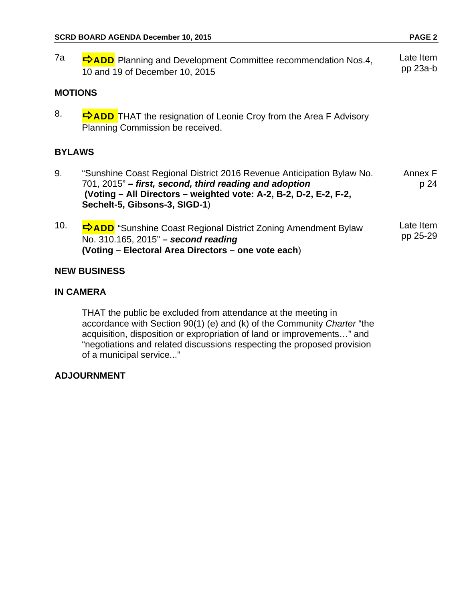7a  $\Rightarrow$  ADD Planning and Development Committee recommendation Nos.4, 10 and 19 of December 10, 2015 Late Item pp 23a-b **MOTIONS**  8.  $\overrightarrow{P}$ ADD THAT the resignation of Leonie Croy from the Area F Advisory Planning Commission be received. **BYLAWS**  9. "Sunshine Coast Regional District 2016 Revenue Anticipation Bylaw No. 701, 2015" *– first, second, third reading and adoption*  **(Voting – All Directors – weighted vote: A-2, B-2, D-2, E-2, F-2, Sechelt-5, Gibsons-3, SIGD-1**) Annex F p 24 10. **<sup>⇒</sup>ADD** "Sunshine Coast Regional District Zoning Amendment Bylaw No. 310.165, 2015" *– second reading* **(Voting – Electoral Area Directors – one vote each**) Late Item pp 25-29

## **NEW BUSINESS**

## **IN CAMERA**

 THAT the public be excluded from attendance at the meeting in accordance with Section 90(1) (e) and (k) of the Community *Charter* "the acquisition, disposition or expropriation of land or improvements…" and "negotiations and related discussions respecting the proposed provision of a municipal service..."

## **ADJOURNMENT**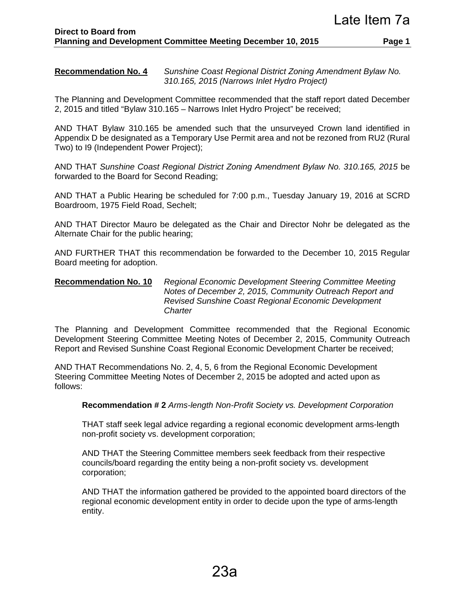**Recommendation No. 4** *Sunshine Coast Regional District Zoning Amendment Bylaw No. 310.165, 2015 (Narrows Inlet Hydro Project)* 

The Planning and Development Committee recommended that the staff report dated December 2, 2015 and titled "Bylaw 310.165 – Narrows Inlet Hydro Project" be received;

AND THAT Bylaw 310.165 be amended such that the unsurveyed Crown land identified in Appendix D be designated as a Temporary Use Permit area and not be rezoned from RU2 (Rural Two) to I9 (Independent Power Project);

AND THAT *Sunshine Coast Regional District Zoning Amendment Bylaw No. 310.165, 2015* be forwarded to the Board for Second Reading;

AND THAT a Public Hearing be scheduled for 7:00 p.m., Tuesday January 19, 2016 at SCRD Boardroom, 1975 Field Road, Sechelt;

AND THAT Director Mauro be delegated as the Chair and Director Nohr be delegated as the Alternate Chair for the public hearing;

AND FURTHER THAT this recommendation be forwarded to the December 10, 2015 Regular Board meeting for adoption.

#### **Recommendation No. 10** *Regional Economic Development Steering Committee Meeting Notes of December 2, 2015, Community Outreach Report and Revised Sunshine Coast Regional Economic Development Charter*

The Planning and Development Committee recommended that the Regional Economic Development Steering Committee Meeting Notes of December 2, 2015, Community Outreach Report and Revised Sunshine Coast Regional Economic Development Charter be received;

AND THAT Recommendations No. 2, 4, 5, 6 from the Regional Economic Development Steering Committee Meeting Notes of December 2, 2015 be adopted and acted upon as follows:

**Recommendation # 2** *Arms-length Non-Profit Society vs. Development Corporation* 

THAT staff seek legal advice regarding a regional economic development arms-length non-profit society vs. development corporation;

AND THAT the Steering Committee members seek feedback from their respective councils/board regarding the entity being a non-profit society vs. development corporation;

AND THAT the information gathered be provided to the appointed board directors of the regional economic development entity in order to decide upon the type of arms-length entity.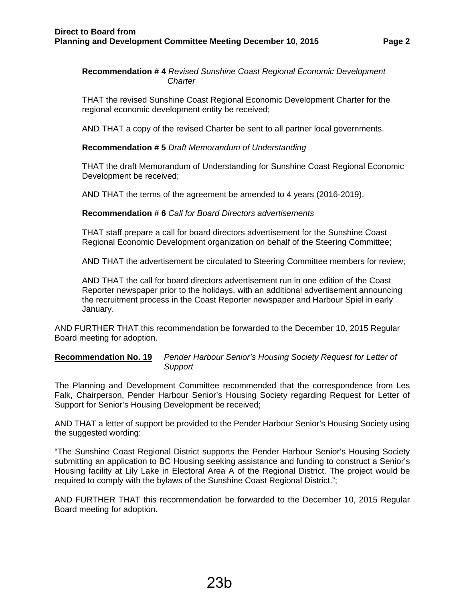#### **Recommendation # 4** *Revised Sunshine Coast Regional Economic Development Charter*

THAT the revised Sunshine Coast Regional Economic Development Charter for the regional economic development entity be received;

AND THAT a copy of the revised Charter be sent to all partner local governments.

#### **Recommendation # 5** *Draft Memorandum of Understanding*

THAT the draft Memorandum of Understanding for Sunshine Coast Regional Economic Development be received;

AND THAT the terms of the agreement be amended to 4 years (2016-2019).

#### **Recommendation # 6** *Call for Board Directors advertisements*

THAT staff prepare a call for board directors advertisement for the Sunshine Coast Regional Economic Development organization on behalf of the Steering Committee;

AND THAT the advertisement be circulated to Steering Committee members for review;

AND THAT the call for board directors advertisement run in one edition of the Coast Reporter newspaper prior to the holidays, with an additional advertisement announcing the recruitment process in the Coast Reporter newspaper and Harbour Spiel in early January.

AND FURTHER THAT this recommendation be forwarded to the December 10, 2015 Regular Board meeting for adoption.

#### **Recommendation No. 19** *Pender Harbour Senior's Housing Society Request for Letter of Support*

The Planning and Development Committee recommended that the correspondence from Les Falk, Chairperson, Pender Harbour Senior's Housing Society regarding Request for Letter of Support for Senior's Housing Development be received;

AND THAT a letter of support be provided to the Pender Harbour Senior's Housing Society using the suggested wording:

"The Sunshine Coast Regional District supports the Pender Harbour Senior's Housing Society submitting an application to BC Housing seeking assistance and funding to construct a Senior's Housing facility at Lily Lake in Electoral Area A of the Regional District. The project would be required to comply with the bylaws of the Sunshine Coast Regional District.";

AND FURTHER THAT this recommendation be forwarded to the December 10, 2015 Regular Board meeting for adoption.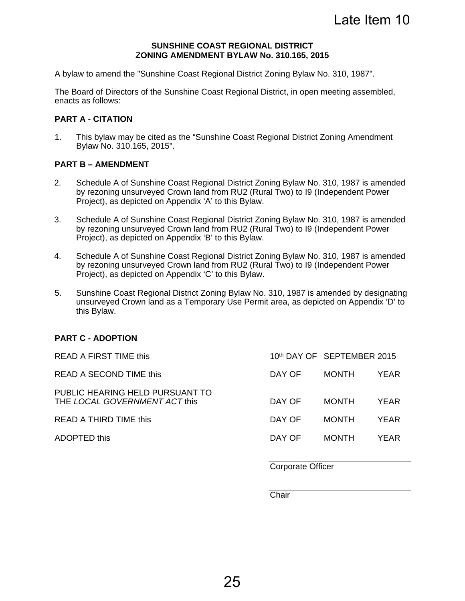Late Item 10

#### **SUNSHINE COAST REGIONAL DISTRICT ZONING AMENDMENT BYLAW No. 310.165, 2015**

A bylaw to amend the "Sunshine Coast Regional District Zoning Bylaw No. 310, 1987".

The Board of Directors of the Sunshine Coast Regional District, in open meeting assembled, enacts as follows:

#### **PART A - CITATION**

1. This bylaw may be cited as the "Sunshine Coast Regional District Zoning Amendment Bylaw No. 310.165, 2015".

#### **PART B – AMENDMENT**

- 2. Schedule A of Sunshine Coast Regional District Zoning Bylaw No. 310, 1987 is amended by rezoning unsurveyed Crown land from RU2 (Rural Two) to I9 (Independent Power Project), as depicted on Appendix 'A' to this Bylaw.
- 3. Schedule A of Sunshine Coast Regional District Zoning Bylaw No. 310, 1987 is amended by rezoning unsurveyed Crown land from RU2 (Rural Two) to I9 (Independent Power Project), as depicted on Appendix 'B' to this Bylaw.
- 4. Schedule A of Sunshine Coast Regional District Zoning Bylaw No. 310, 1987 is amended by rezoning unsurveyed Crown land from RU2 (Rural Two) to I9 (Independent Power Project), as depicted on Appendix 'C' to this Bylaw.
- 5. Sunshine Coast Regional District Zoning Bylaw No. 310, 1987 is amended by designating unsurveyed Crown land as a Temporary Use Permit area, as depicted on Appendix 'D' to this Bylaw.

#### **PART C - ADOPTION**

| READ A FIRST TIME this                                           |        | 10th DAY OF SEPTEMBER 2015 |             |
|------------------------------------------------------------------|--------|----------------------------|-------------|
| READ A SECOND TIME this                                          | DAY OF | <b>MONTH</b>               | YEAR        |
| PUBLIC HEARING HELD PURSUANT TO<br>THE LOCAL GOVERNMENT ACT this | DAY OF | <b>MONTH</b>               | YEAR        |
| READ A THIRD TIME this                                           | DAY OF | <b>MONTH</b>               | <b>YFAR</b> |
| ADOPTED this                                                     | DAY OF | <b>MONTH</b>               | YFAR.       |
|                                                                  |        |                            |             |

Corporate Officer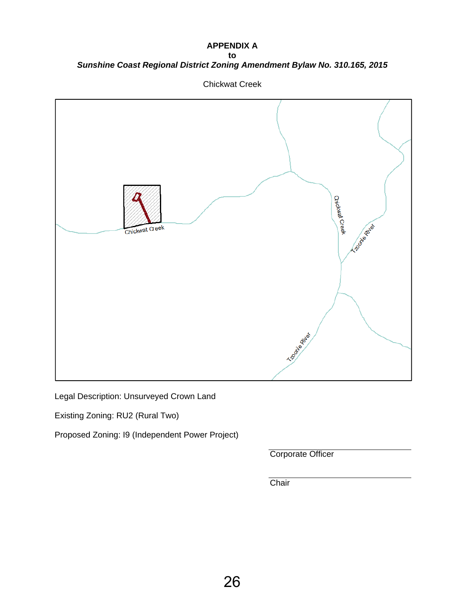**APPENDIX A** 

**to**  *Sunshine Coast Regional District Zoning Amendment Bylaw No. 310.165, 2015*



Chickwat Creek

Legal Description: Unsurveyed Crown Land

Existing Zoning: RU2 (Rural Two)

Proposed Zoning: I9 (Independent Power Project)

Corporate Officer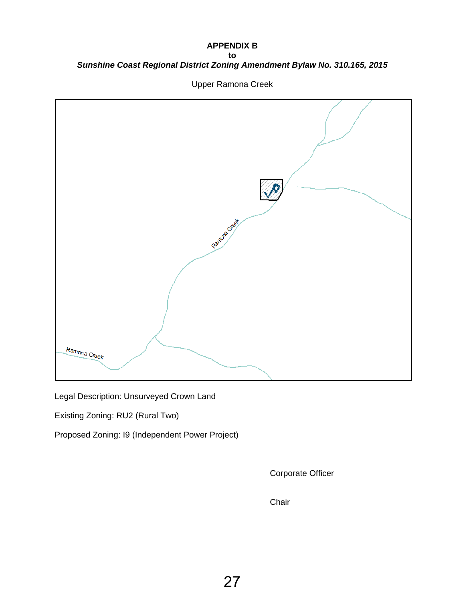## **APPENDIX B to**  *Sunshine Coast Regional District Zoning Amendment Bylaw No. 310.165, 2015*



Upper Ramona Creek

Legal Description: Unsurveyed Crown Land

Existing Zoning: RU2 (Rural Two)

Proposed Zoning: I9 (Independent Power Project)

Corporate Officer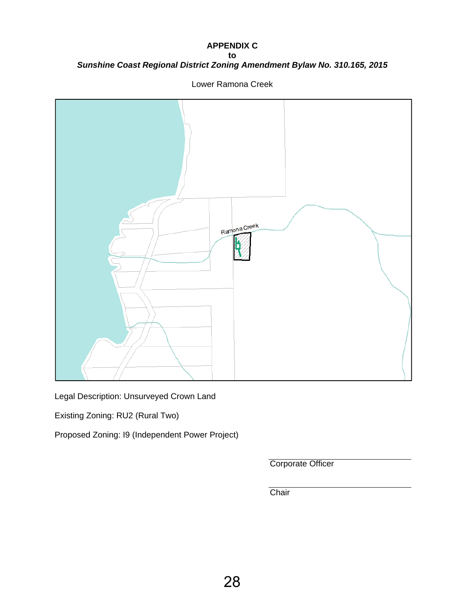## **APPENDIX C to**  *Sunshine Coast Regional District Zoning Amendment Bylaw No. 310.165, 2015*



Lower Ramona Creek

Legal Description: Unsurveyed Crown Land

Existing Zoning: RU2 (Rural Two)

Proposed Zoning: I9 (Independent Power Project)

Corporate Officer